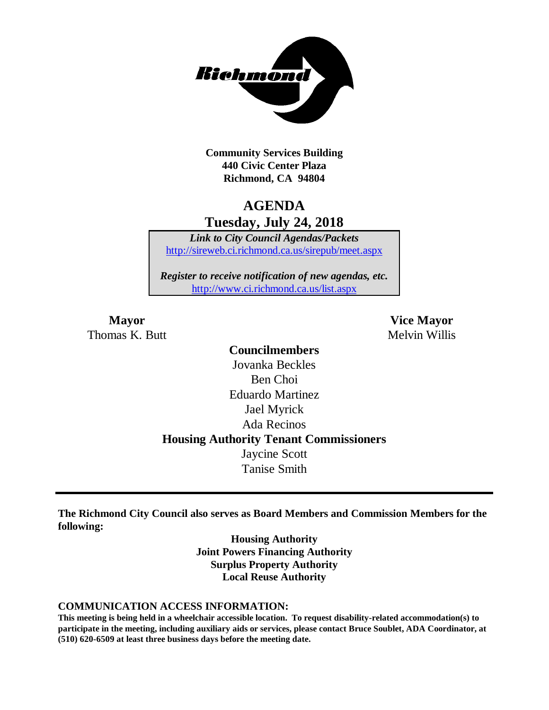

**Community Services Building 440 Civic Center Plaza Richmond, CA 94804**

# **AGENDA Tuesday, July 24, 2018**

*Link to City Council Agendas/Packets* <http://sireweb.ci.richmond.ca.us/sirepub/meet.aspx>

*Register to receive notification of new agendas, etc.* <http://www.ci.richmond.ca.us/list.aspx>

Thomas K. Butt Melvin Willis

**Mayor Vice Mayor**

# **Councilmembers** Jovanka Beckles Ben Choi Eduardo Martinez Jael Myrick Ada Recinos **Housing Authority Tenant Commissioners** Jaycine Scott Tanise Smith

**The Richmond City Council also serves as Board Members and Commission Members for the following:**

> **Housing Authority Joint Powers Financing Authority Surplus Property Authority Local Reuse Authority**

#### **COMMUNICATION ACCESS INFORMATION:**

**This meeting is being held in a wheelchair accessible location. To request disability-related accommodation(s) to participate in the meeting, including auxiliary aids or services, please contact Bruce Soublet, ADA Coordinator, at (510) 620-6509 at least three business days before the meeting date.**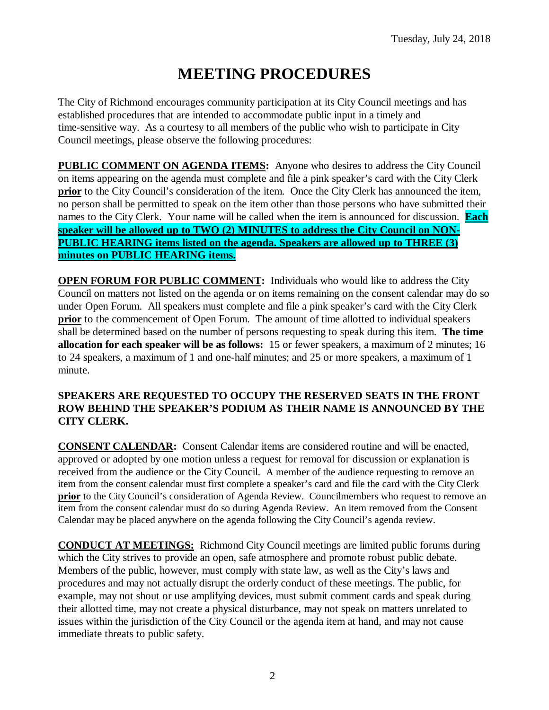# **MEETING PROCEDURES**

The City of Richmond encourages community participation at its City Council meetings and has established procedures that are intended to accommodate public input in a timely and time-sensitive way. As a courtesy to all members of the public who wish to participate in City Council meetings, please observe the following procedures:

**PUBLIC COMMENT ON AGENDA ITEMS:** Anyone who desires to address the City Council on items appearing on the agenda must complete and file a pink speaker's card with the City Clerk **prior** to the City Council's consideration of the item. Once the City Clerk has announced the item, no person shall be permitted to speak on the item other than those persons who have submitted their names to the City Clerk. Your name will be called when the item is announced for discussion. **Each speaker will be allowed up to TWO (2) MINUTES to address the City Council on NON-PUBLIC HEARING items listed on the agenda. Speakers are allowed up to THREE (3) minutes on PUBLIC HEARING items.**

**OPEN FORUM FOR PUBLIC COMMENT:** Individuals who would like to address the City Council on matters not listed on the agenda or on items remaining on the consent calendar may do so under Open Forum. All speakers must complete and file a pink speaker's card with the City Clerk **prior** to the commencement of Open Forum. The amount of time allotted to individual speakers shall be determined based on the number of persons requesting to speak during this item. **The time allocation for each speaker will be as follows:** 15 or fewer speakers, a maximum of 2 minutes; 16 to 24 speakers, a maximum of 1 and one-half minutes; and 25 or more speakers, a maximum of 1 minute.

#### **SPEAKERS ARE REQUESTED TO OCCUPY THE RESERVED SEATS IN THE FRONT ROW BEHIND THE SPEAKER'S PODIUM AS THEIR NAME IS ANNOUNCED BY THE CITY CLERK.**

**CONSENT CALENDAR:** Consent Calendar items are considered routine and will be enacted, approved or adopted by one motion unless a request for removal for discussion or explanation is received from the audience or the City Council. A member of the audience requesting to remove an item from the consent calendar must first complete a speaker's card and file the card with the City Clerk **prior** to the City Council's consideration of Agenda Review. Councilmembers who request to remove an item from the consent calendar must do so during Agenda Review. An item removed from the Consent Calendar may be placed anywhere on the agenda following the City Council's agenda review.

**CONDUCT AT MEETINGS:** Richmond City Council meetings are limited public forums during which the City strives to provide an open, safe atmosphere and promote robust public debate. Members of the public, however, must comply with state law, as well as the City's laws and procedures and may not actually disrupt the orderly conduct of these meetings. The public, for example, may not shout or use amplifying devices, must submit comment cards and speak during their allotted time, may not create a physical disturbance, may not speak on matters unrelated to issues within the jurisdiction of the City Council or the agenda item at hand, and may not cause immediate threats to public safety.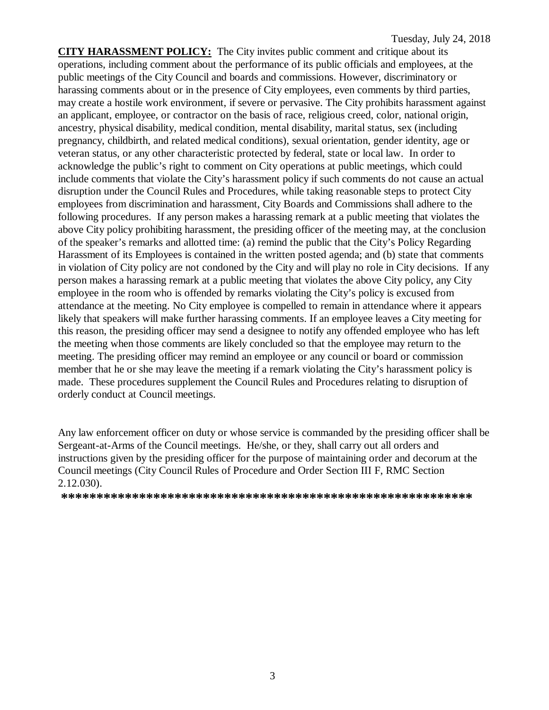**CITY HARASSMENT POLICY:** The City invites public comment and critique about its operations, including comment about the performance of its public officials and employees, at the public meetings of the City Council and boards and commissions. However, discriminatory or harassing comments about or in the presence of City employees, even comments by third parties, may create a hostile work environment, if severe or pervasive. The City prohibits harassment against an applicant, employee, or contractor on the basis of race, religious creed, color, national origin, ancestry, physical disability, medical condition, mental disability, marital status, sex (including pregnancy, childbirth, and related medical conditions), sexual orientation, gender identity, age or veteran status, or any other characteristic protected by federal, state or local law. In order to acknowledge the public's right to comment on City operations at public meetings, which could include comments that violate the City's harassment policy if such comments do not cause an actual disruption under the Council Rules and Procedures, while taking reasonable steps to protect City employees from discrimination and harassment, City Boards and Commissions shall adhere to the following procedures. If any person makes a harassing remark at a public meeting that violates the above City policy prohibiting harassment, the presiding officer of the meeting may, at the conclusion of the speaker's remarks and allotted time: (a) remind the public that the City's Policy Regarding Harassment of its Employees is contained in the written posted agenda; and (b) state that comments in violation of City policy are not condoned by the City and will play no role in City decisions. If any person makes a harassing remark at a public meeting that violates the above City policy, any City employee in the room who is offended by remarks violating the City's policy is excused from attendance at the meeting. No City employee is compelled to remain in attendance where it appears likely that speakers will make further harassing comments. If an employee leaves a City meeting for this reason, the presiding officer may send a designee to notify any offended employee who has left the meeting when those comments are likely concluded so that the employee may return to the meeting. The presiding officer may remind an employee or any council or board or commission member that he or she may leave the meeting if a remark violating the City's harassment policy is made. These procedures supplement the Council Rules and Procedures relating to disruption of orderly conduct at Council meetings.

Any law enforcement officer on duty or whose service is commanded by the presiding officer shall be Sergeant-at-Arms of the Council meetings. He/she, or they, shall carry out all orders and instructions given by the presiding officer for the purpose of maintaining order and decorum at the Council meetings (City Council Rules of Procedure and Order Section III F, RMC Section 2.12.030).

**\*\*\*\*\*\*\*\*\*\*\*\*\*\*\*\*\*\*\*\*\*\*\*\*\*\*\*\*\*\*\*\*\*\*\*\*\*\*\*\*\*\*\*\*\*\*\*\*\*\*\*\*\*\*\*\*\*\***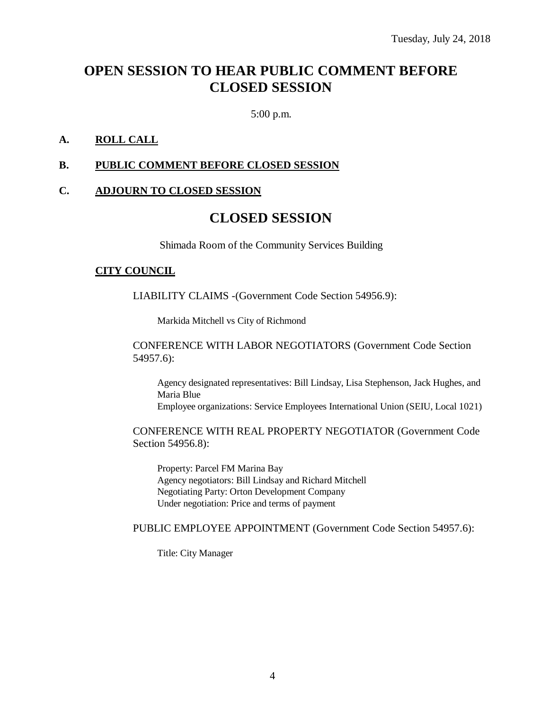# **OPEN SESSION TO HEAR PUBLIC COMMENT BEFORE CLOSED SESSION**

5:00 p.m.

### **A. ROLL CALL**

#### **B. PUBLIC COMMENT BEFORE CLOSED SESSION**

#### **C. ADJOURN TO CLOSED SESSION**

# **CLOSED SESSION**

Shimada Room of the Community Services Building

#### **CITY COUNCIL**

LIABILITY CLAIMS -(Government Code Section 54956.9):

Markida Mitchell vs City of Richmond

CONFERENCE WITH LABOR NEGOTIATORS (Government Code Section 54957.6):

Agency designated representatives: Bill Lindsay, Lisa Stephenson, Jack Hughes, and Maria Blue Employee organizations: Service Employees International Union (SEIU, Local 1021)

CONFERENCE WITH REAL PROPERTY NEGOTIATOR (Government Code Section 54956.8):

Property: Parcel FM Marina Bay Agency negotiators: Bill Lindsay and Richard Mitchell Negotiating Party: Orton Development Company Under negotiation: Price and terms of payment

#### PUBLIC EMPLOYEE APPOINTMENT (Government Code Section 54957.6):

Title: City Manager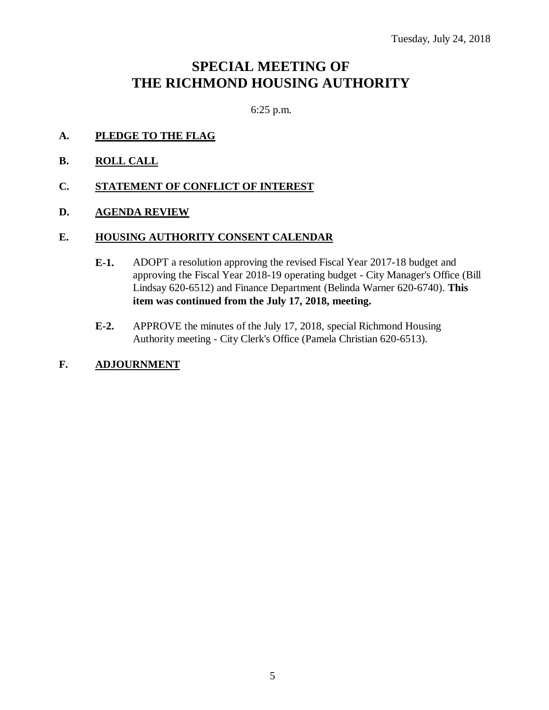# **SPECIAL MEETING OF THE RICHMOND HOUSING AUTHORITY**

6:25 p.m.

- **A. PLEDGE TO THE FLAG**
- **B. ROLL CALL**
- **C. STATEMENT OF CONFLICT OF INTEREST**
- **D. AGENDA REVIEW**

### **E. HOUSING AUTHORITY CONSENT CALENDAR**

- **E-1.** ADOPT a resolution approving the revised Fiscal Year 2017-18 budget and approving the Fiscal Year 2018-19 operating budget - City Manager's Office (Bill Lindsay 620-6512) and Finance Department (Belinda Warner 620-6740). **This item was continued from the July 17, 2018, meeting.**
- **E-2.** APPROVE the minutes of the July 17, 2018, special Richmond Housing Authority meeting - City Clerk's Office (Pamela Christian 620-6513).
- **F. ADJOURNMENT**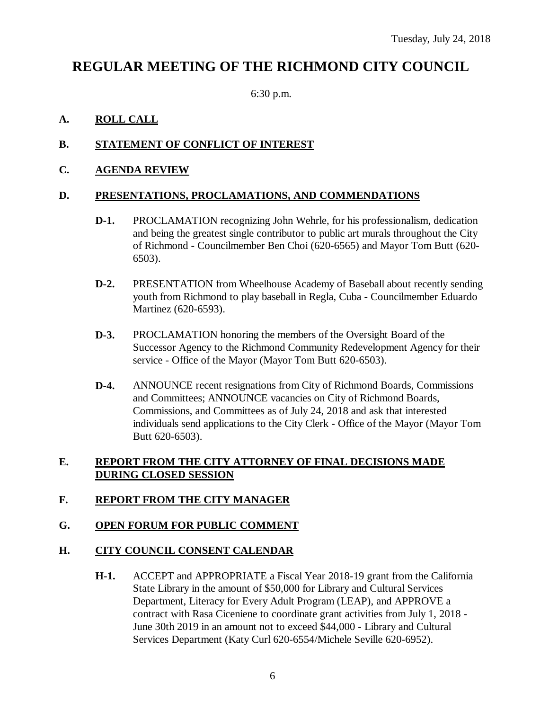# **REGULAR MEETING OF THE RICHMOND CITY COUNCIL**

6:30 p.m.

# **A. ROLL CALL**

# **B. STATEMENT OF CONFLICT OF INTEREST**

### **C. AGENDA REVIEW**

### **D. PRESENTATIONS, PROCLAMATIONS, AND COMMENDATIONS**

- **D-1.** PROCLAMATION recognizing John Wehrle, for his professionalism, dedication and being the greatest single contributor to public art murals throughout the City of Richmond - Councilmember Ben Choi (620-6565) and Mayor Tom Butt (620- 6503).
- **D-2.** PRESENTATION from Wheelhouse Academy of Baseball about recently sending youth from Richmond to play baseball in Regla, Cuba - Councilmember Eduardo Martinez (620-6593).
- **D-3.** PROCLAMATION honoring the members of the Oversight Board of the Successor Agency to the Richmond Community Redevelopment Agency for their service - Office of the Mayor (Mayor Tom Butt 620-6503).
- **D-4.** ANNOUNCE recent resignations from City of Richmond Boards, Commissions and Committees; ANNOUNCE vacancies on City of Richmond Boards, Commissions, and Committees as of July 24, 2018 and ask that interested individuals send applications to the City Clerk - Office of the Mayor (Mayor Tom Butt 620-6503).

### **E. REPORT FROM THE CITY ATTORNEY OF FINAL DECISIONS MADE DURING CLOSED SESSION**

# **F. REPORT FROM THE CITY MANAGER**

### **G. OPEN FORUM FOR PUBLIC COMMENT**

### **H. CITY COUNCIL CONSENT CALENDAR**

**H-1.** ACCEPT and APPROPRIATE a Fiscal Year 2018-19 grant from the California State Library in the amount of \$50,000 for Library and Cultural Services Department, Literacy for Every Adult Program (LEAP), and APPROVE a contract with Rasa Ciceniene to coordinate grant activities from July 1, 2018 - June 30th 2019 in an amount not to exceed \$44,000 - Library and Cultural Services Department (Katy Curl 620-6554/Michele Seville 620-6952).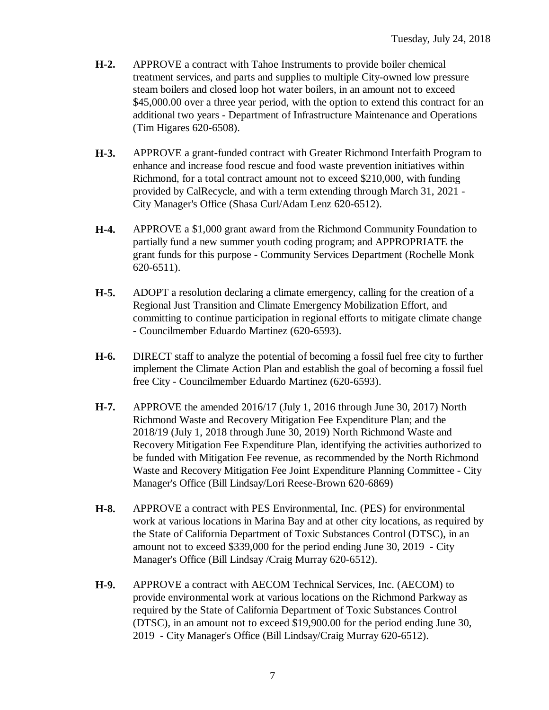- **H-2.** APPROVE a contract with Tahoe Instruments to provide boiler chemical treatment services, and parts and supplies to multiple City-owned low pressure steam boilers and closed loop hot water boilers, in an amount not to exceed \$45,000.00 over a three year period, with the option to extend this contract for an additional two years - Department of Infrastructure Maintenance and Operations (Tim Higares 620-6508).
- **H-3.** APPROVE a grant-funded contract with Greater Richmond Interfaith Program to enhance and increase food rescue and food waste prevention initiatives within Richmond, for a total contract amount not to exceed \$210,000, with funding provided by CalRecycle, and with a term extending through March 31, 2021 - City Manager's Office (Shasa Curl/Adam Lenz 620-6512).
- **H-4.** APPROVE a \$1,000 grant award from the Richmond Community Foundation to partially fund a new summer youth coding program; and APPROPRIATE the grant funds for this purpose - Community Services Department (Rochelle Monk 620-6511).
- **H-5.** ADOPT a resolution declaring a climate emergency, calling for the creation of a Regional Just Transition and Climate Emergency Mobilization Effort, and committing to continue participation in regional efforts to mitigate climate change - Councilmember Eduardo Martinez (620-6593).
- **H-6.** DIRECT staff to analyze the potential of becoming a fossil fuel free city to further implement the Climate Action Plan and establish the goal of becoming a fossil fuel free City - Councilmember Eduardo Martinez (620-6593).
- **H-7.** APPROVE the amended 2016/17 (July 1, 2016 through June 30, 2017) North Richmond Waste and Recovery Mitigation Fee Expenditure Plan; and the 2018/19 (July 1, 2018 through June 30, 2019) North Richmond Waste and Recovery Mitigation Fee Expenditure Plan, identifying the activities authorized to be funded with Mitigation Fee revenue, as recommended by the North Richmond Waste and Recovery Mitigation Fee Joint Expenditure Planning Committee - City Manager's Office (Bill Lindsay/Lori Reese-Brown 620-6869)
- **H-8.** APPROVE a contract with PES Environmental, Inc. (PES) for environmental work at various locations in Marina Bay and at other city locations, as required by the State of California Department of Toxic Substances Control (DTSC), in an amount not to exceed \$339,000 for the period ending June 30, 2019 - City Manager's Office (Bill Lindsay /Craig Murray 620-6512).
- **H-9.** APPROVE a contract with AECOM Technical Services, Inc. (AECOM) to provide environmental work at various locations on the Richmond Parkway as required by the State of California Department of Toxic Substances Control (DTSC), in an amount not to exceed \$19,900.00 for the period ending June 30, 2019 - City Manager's Office (Bill Lindsay/Craig Murray 620-6512).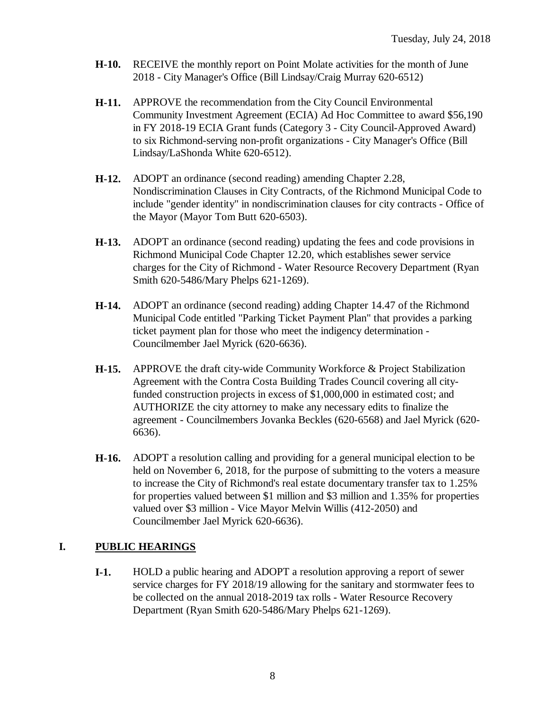- **H-10.** RECEIVE the monthly report on Point Molate activities for the month of June 2018 - City Manager's Office (Bill Lindsay/Craig Murray 620-6512)
- **H-11.** APPROVE the recommendation from the City Council Environmental Community Investment Agreement (ECIA) Ad Hoc Committee to award \$56,190 in FY 2018-19 ECIA Grant funds (Category 3 - City Council-Approved Award) to six Richmond-serving non-profit organizations - City Manager's Office (Bill Lindsay/LaShonda White 620-6512).
- **H-12.** ADOPT an ordinance (second reading) amending Chapter 2.28, Nondiscrimination Clauses in City Contracts, of the Richmond Municipal Code to include "gender identity" in nondiscrimination clauses for city contracts - Office of the Mayor (Mayor Tom Butt 620-6503).
- **H-13.** ADOPT an ordinance (second reading) updating the fees and code provisions in Richmond Municipal Code Chapter 12.20, which establishes sewer service charges for the City of Richmond - Water Resource Recovery Department (Ryan Smith 620-5486/Mary Phelps 621-1269).
- **H-14.** ADOPT an ordinance (second reading) adding Chapter 14.47 of the Richmond Municipal Code entitled "Parking Ticket Payment Plan" that provides a parking ticket payment plan for those who meet the indigency determination - Councilmember Jael Myrick (620-6636).
- **H-15.** APPROVE the draft city-wide Community Workforce & Project Stabilization Agreement with the Contra Costa Building Trades Council covering all cityfunded construction projects in excess of \$1,000,000 in estimated cost; and AUTHORIZE the city attorney to make any necessary edits to finalize the agreement - Councilmembers Jovanka Beckles (620-6568) and Jael Myrick (620- 6636).
- **H-16.** ADOPT a resolution calling and providing for a general municipal election to be held on November 6, 2018, for the purpose of submitting to the voters a measure to increase the City of Richmond's real estate documentary transfer tax to 1.25% for properties valued between \$1 million and \$3 million and 1.35% for properties valued over \$3 million - Vice Mayor Melvin Willis (412-2050) and Councilmember Jael Myrick 620-6636).

# **I. PUBLIC HEARINGS**

**I-1.** HOLD a public hearing and ADOPT a resolution approving a report of sewer service charges for FY 2018/19 allowing for the sanitary and stormwater fees to be collected on the annual 2018-2019 tax rolls - Water Resource Recovery Department (Ryan Smith 620-5486/Mary Phelps 621-1269).